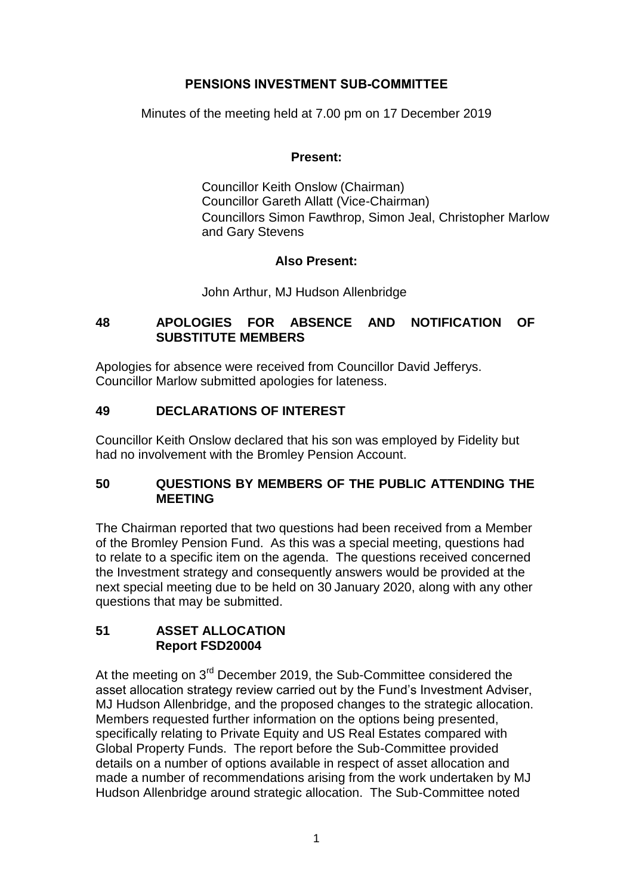# **PENSIONS INVESTMENT SUB-COMMITTEE**

Minutes of the meeting held at 7.00 pm on 17 December 2019

### **Present:**

Councillor Keith Onslow (Chairman) Councillor Gareth Allatt (Vice-Chairman) Councillors Simon Fawthrop, Simon Jeal, Christopher Marlow and Gary Stevens

# **Also Present:**

John Arthur, MJ Hudson Allenbridge

# **48 APOLOGIES FOR ABSENCE AND NOTIFICATION OF SUBSTITUTE MEMBERS**

Apologies for absence were received from Councillor David Jefferys. Councillor Marlow submitted apologies for lateness.

# **49 DECLARATIONS OF INTEREST**

Councillor Keith Onslow declared that his son was employed by Fidelity but had no involvement with the Bromley Pension Account.

### **50 QUESTIONS BY MEMBERS OF THE PUBLIC ATTENDING THE MEETING**

The Chairman reported that two questions had been received from a Member of the Bromley Pension Fund. As this was a special meeting, questions had to relate to a specific item on the agenda. The questions received concerned the Investment strategy and consequently answers would be provided at the next special meeting due to be held on 30 January 2020, along with any other questions that may be submitted.

### **51 ASSET ALLOCATION Report FSD20004**

At the meeting on 3<sup>rd</sup> December 2019, the Sub-Committee considered the asset allocation strategy review carried out by the Fund's Investment Adviser, MJ Hudson Allenbridge, and the proposed changes to the strategic allocation. Members requested further information on the options being presented, specifically relating to Private Equity and US Real Estates compared with Global Property Funds. The report before the Sub-Committee provided details on a number of options available in respect of asset allocation and made a number of recommendations arising from the work undertaken by MJ Hudson Allenbridge around strategic allocation. The Sub-Committee noted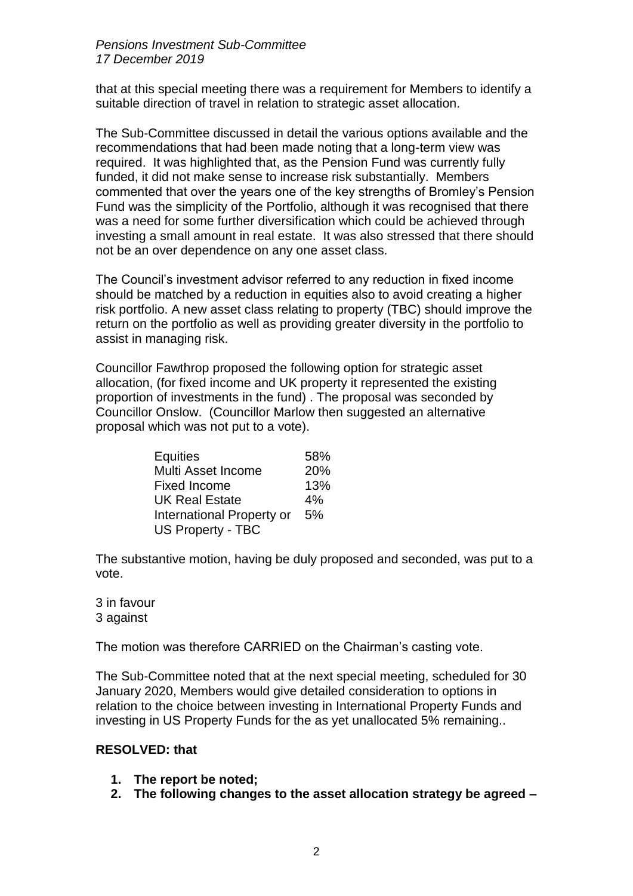#### *Pensions Investment Sub-Committee 17 December 2019*

that at this special meeting there was a requirement for Members to identify a suitable direction of travel in relation to strategic asset allocation.

The Sub-Committee discussed in detail the various options available and the recommendations that had been made noting that a long-term view was required. It was highlighted that, as the Pension Fund was currently fully funded, it did not make sense to increase risk substantially. Members commented that over the years one of the key strengths of Bromley's Pension Fund was the simplicity of the Portfolio, although it was recognised that there was a need for some further diversification which could be achieved through investing a small amount in real estate. It was also stressed that there should not be an over dependence on any one asset class.

The Council's investment advisor referred to any reduction in fixed income should be matched by a reduction in equities also to avoid creating a higher risk portfolio. A new asset class relating to property (TBC) should improve the return on the portfolio as well as providing greater diversity in the portfolio to assist in managing risk.

Councillor Fawthrop proposed the following option for strategic asset allocation, (for fixed income and UK property it represented the existing proportion of investments in the fund) . The proposal was seconded by Councillor Onslow. (Councillor Marlow then suggested an alternative proposal which was not put to a vote).

| Equities                  | 58% |
|---------------------------|-----|
| Multi Asset Income        | 20% |
| <b>Fixed Income</b>       | 13% |
| <b>UK Real Estate</b>     | 4%  |
| International Property or | 5%  |
| <b>US Property - TBC</b>  |     |

The substantive motion, having be duly proposed and seconded, was put to a vote.

3 in favour 3 against

The motion was therefore CARRIED on the Chairman's casting vote.

The Sub-Committee noted that at the next special meeting, scheduled for 30 January 2020, Members would give detailed consideration to options in relation to the choice between investing in International Property Funds and investing in US Property Funds for the as yet unallocated 5% remaining..

#### **RESOLVED: that**

- **1. The report be noted;**
- **2. The following changes to the asset allocation strategy be agreed –**